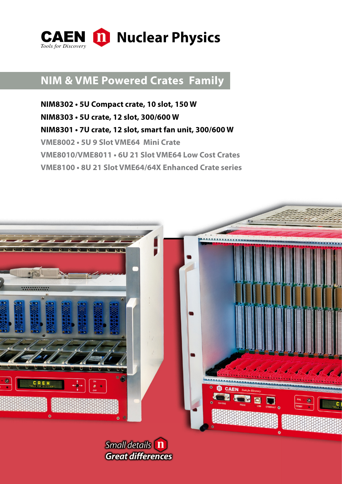

# **NIM & VME Powered Crates Family**

**NIM8302 • 5U Compact crate, 10 slot, 150 W NIM8303 • 5U crate, 12 slot, 300/600 W NIM8301 • 7U crate, 12 slot, smart fan unit, 300/600 W VME8002 • 5U 9 Slot VME64 Mini Crate VME8010/VME8011 • 6U 21 Slot VME64 Low Cost Crates VME8100 • 8U 21 Slot VME64/64X Enhanced Crate series**



Small details [1] **Great differences**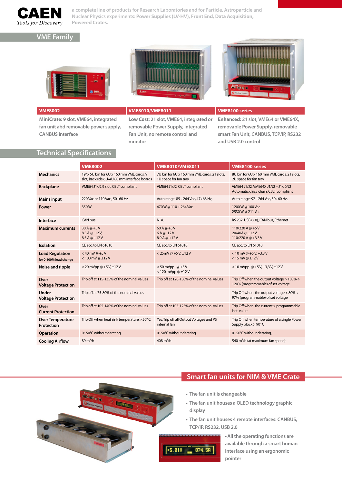

**a complete line of products for Research Laboratories and for Particle, Astroparticle and Nuclear Physics experiments: Power Supplies (LV-HV), Front End, Data Acquisition, Powered Crates.**

### **VME Family**





**MiniCrate: 9 slot, VME64, integrated fan unit abd removable power supply, CANBUS interface**

### **VME8002 VME8010/VME8011 VME8100 series**

**Low Cost: 21 slot, VME64, integrated or removable Power Supply, integrated Fan Unit, no remote control and monitor**

**Enhanced: 21 slot, VME64 or VME64X, removable Power Supply, removable smart Fan Unit, CANBUS, TCP/IP, RS232 and USB 2.0 control**

### **Technical Specifications**

|                                                  | <b>VME8002</b>                                                                           | <b>VME8010/VME8011</b>                                               | <b>VME8100 series</b>                                                                 |
|--------------------------------------------------|------------------------------------------------------------------------------------------|----------------------------------------------------------------------|---------------------------------------------------------------------------------------|
| <b>Mechanics</b>                                 | 19" x 5U bin for 6U x 160 mm VME cards, 9<br>slot, Backside 6U/4U 80 mm interface boards | 7U bin for 6U x 160 mm VME cards, 21 slots,<br>1U space for fan tray | 8U bin for 6U x 160 mm VME cards, 21 slots,<br>2U space for fan tray                  |
| <b>Backplane</b>                                 | VME64 J1/J2 9 slot, CBLT compliant                                                       | VME64 J1/J2, CBLT compliant                                          | VME64 J1/J2, VME64X J1/J2 - J1/J0/J2<br>Automatic daisy chain, CBLT compliant         |
| <b>Mains input</b>                               | 220 Vac or 110 Vac, 50:60 Hz                                                             | Auto range: 85 ÷ 264 Vac, 47 ÷ 63 Hz,                                | Auto range: 92 ÷ 264 Vac, 50÷60 Hz,                                                   |
| Power                                            | 350W                                                                                     | 470 W @ 110 ÷ 264 Vac                                                | 1200 W @ 100 Vac<br>2530 W @ 211 Vac                                                  |
| Interface                                        | <b>CAN bus</b>                                                                           | N.A.                                                                 | RS 232, USB (2.0), CAN bus, Ethernet                                                  |
| <b>Maximum currents</b>                          | 30 A @ $+5V$<br>$8.5A@-12V,$<br>$8.5A@+12V$                                              | 60 A @ +5 V<br>$6A@-12V$<br>$8.9A@+12V$                              | 110/220 A @ +5 V<br>20/40A @ ±12V<br>110/220 A @ +3.3 V                               |
| Isolation                                        | CE acc. to EN 61010                                                                      | CE acc. to EN 61010                                                  | CE acc. to EN 61010                                                                   |
| <b>Load Regulation</b><br>for 0-100% load change | $<$ 40 mV @ +5 V<br>< 100 mV @ $\pm$ 12 V                                                | <25mV @ +5V, $\pm$ 12V                                               | $< 10$ mV @ +5 V, +3,3 V<br>$< 15$ mV @ $\pm 12$ V                                    |
| Noise and ripple                                 | <20 mVpp @ +5 V, $\pm$ 12 V                                                              | <50 mVpp $@+5V$<br>< 120 mVpp $@$ $±$ 12 V                           | < 10 mVpp @ +5 V, +3,3 V, $\pm$ 12 V                                                  |
| Over<br><b>Voltage Protection</b>                | Trip off at 115-135% of the nominal values                                               | Trip off at 120-130% of the nominal values                           | Trip Off when the output voltage $> 103\% \div$<br>120% (programmable) of set voltage |
| Under<br><b>Voltage Protection</b>               | Trip off at 75-80% of the nominal values                                                 |                                                                      | Trip Off when the output voltage $< 80\% \div$<br>97% (programmable) of set voltage   |
| Over<br><b>Current Protection</b>                | Trip off at 105-140% of the nominal values                                               | Trip off at 105-125% of the nominal values                           | Trip Off when the current > programmable<br>Iset value                                |
| <b>Over Temperature</b><br>Protection            | Trip Off when heat sink temperature > 50° C                                              | Yes, Trip off all Output Voltages and PS<br>internal fan             | Trip Off when temperature of a single Power<br>Supply block > 90°C                    |
| <b>Operation</b>                                 | 0÷50°C without derating                                                                  | 0÷50°C without derating,                                             | 0÷50°C without derating,                                                              |
| <b>Cooling Airflow</b>                           | $89 \text{ m}^3/\text{h}$                                                                | $408 \text{ m}^3/h$                                                  | 540 m <sup>3</sup> /h (at maximum fan speed)                                          |



### **Smart fan units for NIM & VME Crate**

- **• The fan unit is changeable**
- **• The fan unit houses a OLED technology graphic display**
- **• The fan unit houses 4 remote interfaces: CANBUS, TCP/IP, RS232, USB 2.0**



**• All the operating functions are available through a smart human interface using an ergonomic pointer**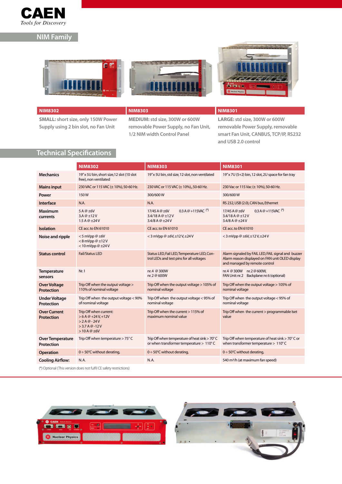

## **NIM Family**







**SMALL: short size, only 150W Power Supply using 2 bin slot, no Fan Unit**

**MEDIUM: std size, 300W or 600W removable Power Supply, no Fan Unit, 1/2 NIM width Control Panel**

### **NIM8302 NIM8303 NIM8301**

**LARGE: std size, 300W or 600W removable Power Supply, removable smart Fan Unit, CANBUS, TCP/IP, RS232 and USB 2.0 control**

### **Technical Specifications**

|                                          | <b>NIM8302</b>                                                                                   | <b>NIM8303</b>                                                                           | <b>NIM8301</b>                                                                                                                         |  |  |
|------------------------------------------|--------------------------------------------------------------------------------------------------|------------------------------------------------------------------------------------------|----------------------------------------------------------------------------------------------------------------------------------------|--|--|
| <b>Mechanics</b>                         | 19" x 5U bin, short size, 12 slot (10 slot<br>free), non ventilated                              | 19" x 5U bin, std size, 12 slot, non ventilated                                          | 19" x 7U (5+2) bin, 12 slot, 2U space for fan tray                                                                                     |  |  |
| <b>Mains input</b>                       | 230 VAC or 115 VAC (± 10%), 50-60 Hz.                                                            | 230 VAC or 115 VAC (± 10%), 50-60 Hz.                                                    | 230 Vac or 115 Vac (± 10%), 50-60 Hz.                                                                                                  |  |  |
| Power                                    | 150W                                                                                             | 300/600W                                                                                 | 300/600W                                                                                                                               |  |  |
| Interface                                | N.A.                                                                                             | N.A.                                                                                     | RS 232, USB (2.0), CAN bus, Ethernet                                                                                                   |  |  |
| <b>Maximum</b><br>currents               | 5 A @ ±6V<br>3.A@±12V<br>1.5 A $@$ $±$ 24 V                                                      | 0.3 A @ +115VAC (*)<br>17/45 A @ ±6V<br>3.4/18 A $@$ ±12 V<br>3.4/8 A $@$ $±$ 24 V       | 0.3 A $@+115$ VAC <sup>(*)</sup><br>17/45 A @ ±6V<br>3.4/18 A @ ±12 V<br>3.4/8 A $@$ $±$ 24 V                                          |  |  |
| <b>Isolation</b>                         | CE acc. to EN 61010                                                                              | CE acc. to EN 61010                                                                      | CE acc. to EN 61010                                                                                                                    |  |  |
| Noise and ripple                         | $<$ 5 mVpp @ $\pm$ 6V<br>$< 8$ mVpp @ $\pm 12$ V<br>< 10 mVpp $@$ $±$ 24 V                       | < 3 mVpp @ $\pm$ 6V, $\pm$ 12V, $\pm$ 24V                                                | < 3 mVpp @ $\pm$ 6V, $\pm$ 12V, $\pm$ 24V                                                                                              |  |  |
| <b>Status control</b>                    | <b>Fail/Status LED</b>                                                                           | Status LED, Fail LED, Temperature LED, Con-<br>trol LEDs and test pins for all voltages  | Alarm signaled by FAIL LED, FAIL signal and buzzer<br>Alarm reason displayed on FAN unit OLED display<br>and managed by remote control |  |  |
| <b>Temperature</b><br>sensors            | Nr. 1                                                                                            | nr.4 @ 300W<br>nr. 2 @ 600W                                                              | nr.4 @ 300W nr.2 @ 600W,<br>FAN Unit: nr.2 Backplane: nr.6 (optional)                                                                  |  |  |
| <b>Over Voltage</b><br><b>Protection</b> | Trip Off when the output voltage ><br>110% of nominal voltage                                    | Trip Off when the output voltage > 105% of<br>nominal voltage                            | Trip Off when the output voltage > 105% of<br>nominal voltage                                                                          |  |  |
| <b>Under Voltage</b><br>Protection       | Trip Off when the output voltage < 90%<br>of nominal voltage                                     | Trip Off when the output voltage < 95% of<br>nominal voltage                             | Trip Off when the output voltage < 95% of<br>nominal voltage                                                                           |  |  |
| <b>Over Current</b><br><b>Protection</b> | Trip Off when current:<br>$> 6 A @ +24 V +12V$<br>$>2A@-24V$<br>$>$ 3.7 A @ -12 V<br>$>10A@$ ±6V | Trip Off when the current > 115% of<br>maximum nominal value                             | Trip Off when the current > programmable lset<br>value                                                                                 |  |  |
| <b>Over Temperature</b><br>Protection    | Trip Off when temperature $> 75^{\circ}$ C                                                       | Trip Off when temperature of heat sink > 70°C<br>or when transformer temperature > 110°C | Trip Off when temperature of heat sink > 70° C or<br>when transformer temperature > 110°C                                              |  |  |
| <b>Operation</b>                         | $0 \div 50^{\circ}$ C without derating,                                                          | $0 \div 50^{\circ}$ C without derating,                                                  | $0 \div 50^{\circ}$ C without derating,                                                                                                |  |  |
| <b>Cooling Airflow:</b>                  | N.A.                                                                                             | N.A.                                                                                     | 540 m <sup>3</sup> /h (at maximum fan speed)                                                                                           |  |  |
|                                          | (*) Optional (This version does not fulfil CE safety restrictions)                               |                                                                                          |                                                                                                                                        |  |  |